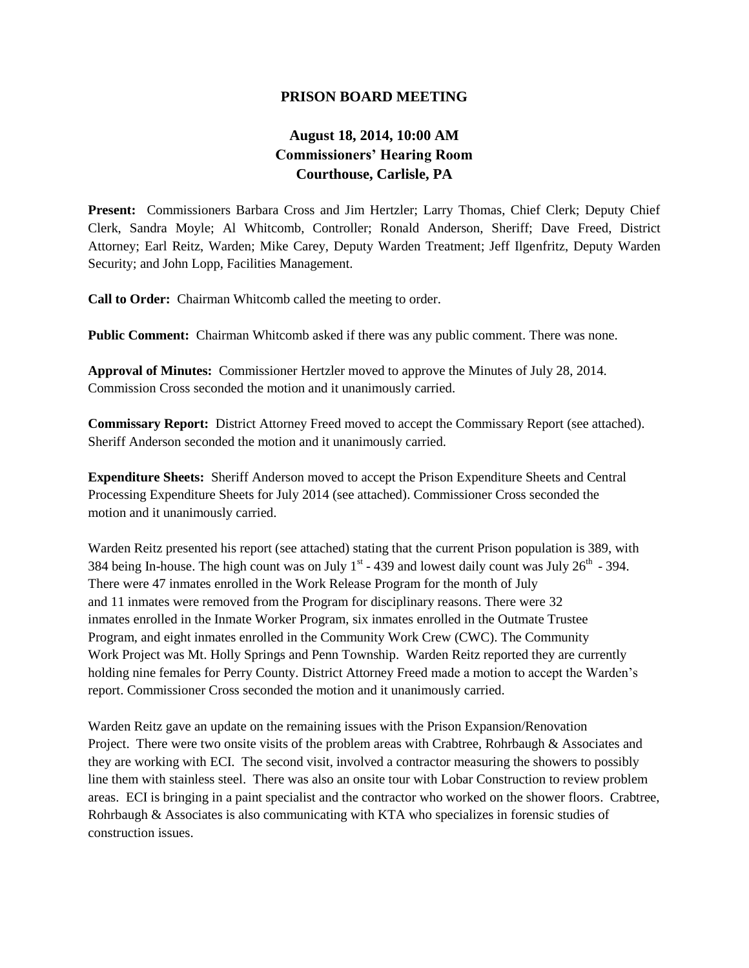## **PRISON BOARD MEETING**

## **August 18, 2014, 10:00 AM Commissioners' Hearing Room Courthouse, Carlisle, PA**

**Present:** Commissioners Barbara Cross and Jim Hertzler; Larry Thomas, Chief Clerk; Deputy Chief Clerk, Sandra Moyle; Al Whitcomb, Controller; Ronald Anderson, Sheriff; Dave Freed, District Attorney; Earl Reitz, Warden; Mike Carey, Deputy Warden Treatment; Jeff Ilgenfritz, Deputy Warden Security; and John Lopp, Facilities Management.

**Call to Order:** Chairman Whitcomb called the meeting to order.

**Public Comment:** Chairman Whitcomb asked if there was any public comment. There was none.

**Approval of Minutes:** Commissioner Hertzler moved to approve the Minutes of July 28, 2014. Commission Cross seconded the motion and it unanimously carried.

**Commissary Report:** District Attorney Freed moved to accept the Commissary Report (see attached). Sheriff Anderson seconded the motion and it unanimously carried.

**Expenditure Sheets:** Sheriff Anderson moved to accept the Prison Expenditure Sheets and Central Processing Expenditure Sheets for July 2014 (see attached). Commissioner Cross seconded the motion and it unanimously carried.

Warden Reitz presented his report (see attached) stating that the current Prison population is 389, with 384 being In-house. The high count was on July  $1<sup>st</sup>$  - 439 and lowest daily count was July  $26<sup>th</sup>$  - 394. There were 47 inmates enrolled in the Work Release Program for the month of July and 11 inmates were removed from the Program for disciplinary reasons. There were 32 inmates enrolled in the Inmate Worker Program, six inmates enrolled in the Outmate Trustee Program, and eight inmates enrolled in the Community Work Crew (CWC). The Community Work Project was Mt. Holly Springs and Penn Township. Warden Reitz reported they are currently holding nine females for Perry County. District Attorney Freed made a motion to accept the Warden's report. Commissioner Cross seconded the motion and it unanimously carried.

Warden Reitz gave an update on the remaining issues with the Prison Expansion/Renovation Project. There were two onsite visits of the problem areas with Crabtree, Rohrbaugh & Associates and they are working with ECI. The second visit, involved a contractor measuring the showers to possibly line them with stainless steel. There was also an onsite tour with Lobar Construction to review problem areas. ECI is bringing in a paint specialist and the contractor who worked on the shower floors. Crabtree, Rohrbaugh & Associates is also communicating with KTA who specializes in forensic studies of construction issues.